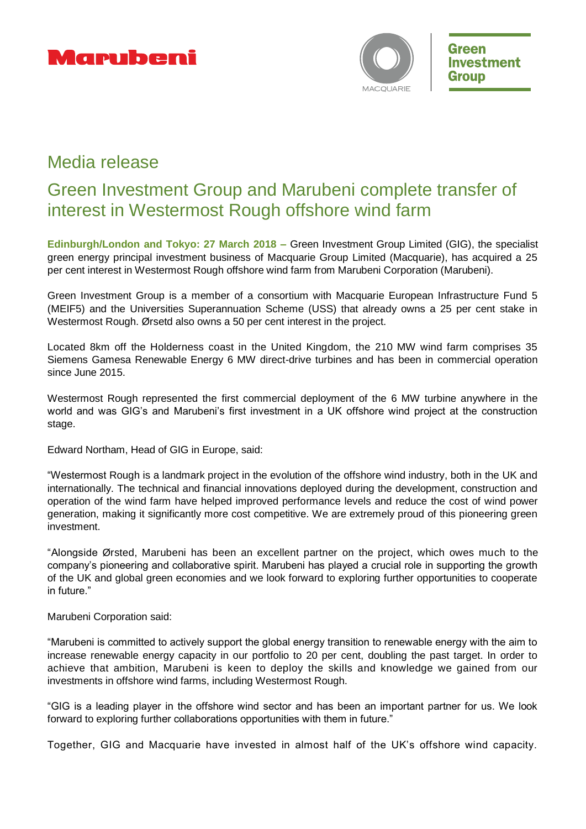



# Media release

# Green Investment Group and Marubeni complete transfer of interest in Westermost Rough offshore wind farm

**Edinburgh/London and Tokyo: 27 March 2018 –** Green Investment Group Limited (GIG), the specialist green energy principal investment business of Macquarie Group Limited (Macquarie), has acquired a 25 per cent interest in Westermost Rough offshore wind farm from Marubeni Corporation (Marubeni).

Green Investment Group is a member of a consortium with Macquarie European Infrastructure Fund 5 (MEIF5) and the Universities Superannuation Scheme (USS) that already owns a 25 per cent stake in Westermost Rough. Ørsetd also owns a 50 per cent interest in the project.

Located 8km off the Holderness coast in the United Kingdom, the 210 MW wind farm comprises 35 Siemens Gamesa Renewable Energy 6 MW direct-drive turbines and has been in commercial operation since June 2015.

Westermost Rough represented the first commercial deployment of the 6 MW turbine anywhere in the world and was GIG's and Marubeni's first investment in a UK offshore wind project at the construction stage.

Edward Northam, Head of GIG in Europe, said:

"Westermost Rough is a landmark project in the evolution of the offshore wind industry, both in the UK and internationally. The technical and financial innovations deployed during the development, construction and operation of the wind farm have helped improved performance levels and reduce the cost of wind power generation, making it significantly more cost competitive. We are extremely proud of this pioneering green investment.

"Alongside Ørsted, Marubeni has been an excellent partner on the project, which owes much to the company's pioneering and collaborative spirit. Marubeni has played a crucial role in supporting the growth of the UK and global green economies and we look forward to exploring further opportunities to cooperate in future."

## Marubeni Corporation said:

"Marubeni is committed to actively support the global energy transition to renewable energy with the aim to increase renewable energy capacity in our portfolio to 20 per cent, doubling the past target. In order to achieve that ambition, Marubeni is keen to deploy the skills and knowledge we gained from our investments in offshore wind farms, including Westermost Rough.

"GIG is a leading player in the offshore wind sector and has been an important partner for us. We look forward to exploring further collaborations opportunities with them in future."

Together, GIG and Macquarie have invested in almost half of the UK's offshore wind capacity.